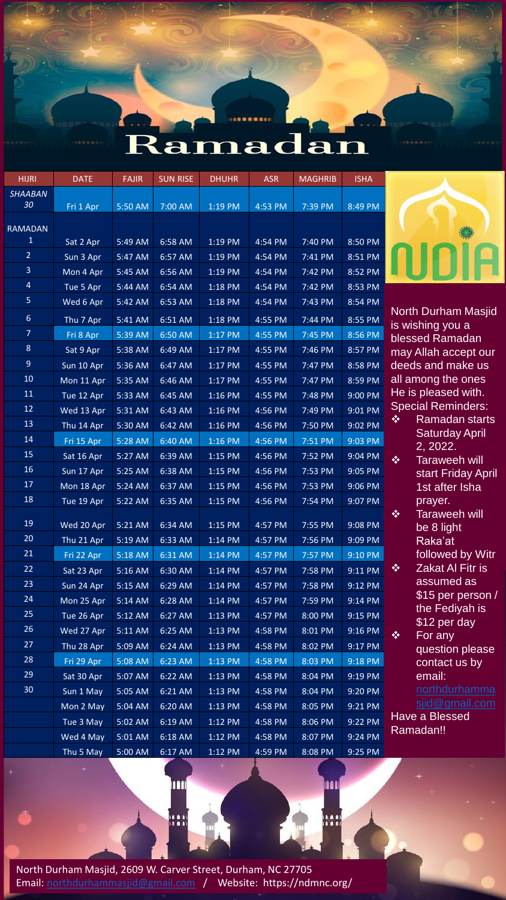

| <b>DATE</b> | <b>FAJIR</b>                                                                                                                                                                                                                        | <b>SUN RISE</b>                                                                                                                                                                         | <b>DHUHR</b>                                                                                                                                                                 | <b>ASR</b>                                                                                                                                                                   | <b>MAGHRIB</b>                                                                                                                                                                                       | <b>ISHA</b>                                                                                                                                                                  |
|-------------|-------------------------------------------------------------------------------------------------------------------------------------------------------------------------------------------------------------------------------------|-----------------------------------------------------------------------------------------------------------------------------------------------------------------------------------------|------------------------------------------------------------------------------------------------------------------------------------------------------------------------------|------------------------------------------------------------------------------------------------------------------------------------------------------------------------------|------------------------------------------------------------------------------------------------------------------------------------------------------------------------------------------------------|------------------------------------------------------------------------------------------------------------------------------------------------------------------------------|
|             |                                                                                                                                                                                                                                     |                                                                                                                                                                                         |                                                                                                                                                                              |                                                                                                                                                                              |                                                                                                                                                                                                      |                                                                                                                                                                              |
| Fri 1 Apr   | 5:50 AM                                                                                                                                                                                                                             | 7:00 AM                                                                                                                                                                                 | 1:19 PM                                                                                                                                                                      | $4:53$ PM                                                                                                                                                                    | 7:39 PM                                                                                                                                                                                              | 8:49 PM                                                                                                                                                                      |
|             |                                                                                                                                                                                                                                     |                                                                                                                                                                                         |                                                                                                                                                                              |                                                                                                                                                                              |                                                                                                                                                                                                      |                                                                                                                                                                              |
| Sat 2 Apr   | 5:49 AM                                                                                                                                                                                                                             | 6:58 AM                                                                                                                                                                                 | 1:19 PM                                                                                                                                                                      | $4:54$ PM                                                                                                                                                                    | 7:40 PM                                                                                                                                                                                              | 8:50 PM                                                                                                                                                                      |
| Sun 3 Apr   | 5:47 AM                                                                                                                                                                                                                             | 6:57 AM                                                                                                                                                                                 | 1:19 PM                                                                                                                                                                      | 4:54 PM                                                                                                                                                                      | 7:41 PM                                                                                                                                                                                              | 8:51 PM                                                                                                                                                                      |
| Mon 4 Apr   | 5:45 AM                                                                                                                                                                                                                             | 6:56 AM                                                                                                                                                                                 | 1:19 PM                                                                                                                                                                      | 4:54 PM                                                                                                                                                                      | 7:42 PM                                                                                                                                                                                              | 8:52 PM                                                                                                                                                                      |
| Tue 5 Apr   | 5:44 AM                                                                                                                                                                                                                             | 6:54 AM                                                                                                                                                                                 | 1:18 PM                                                                                                                                                                      | 4:54 PM                                                                                                                                                                      | 7:42 PM                                                                                                                                                                                              | 8:53 PM                                                                                                                                                                      |
| Wed 6 Apr   | 5:42 AM                                                                                                                                                                                                                             | 6:53 AM                                                                                                                                                                                 | 1:18 PM                                                                                                                                                                      | 4:54 PM                                                                                                                                                                      | 7:43 PM                                                                                                                                                                                              | 8:54 PM                                                                                                                                                                      |
|             |                                                                                                                                                                                                                                     |                                                                                                                                                                                         |                                                                                                                                                                              |                                                                                                                                                                              | 7:44 PM                                                                                                                                                                                              | 8:55 PM                                                                                                                                                                      |
|             |                                                                                                                                                                                                                                     |                                                                                                                                                                                         |                                                                                                                                                                              |                                                                                                                                                                              |                                                                                                                                                                                                      | 8:56 PM                                                                                                                                                                      |
| Sat 9 Apr   | 5:38 AM                                                                                                                                                                                                                             | 6:49 AM                                                                                                                                                                                 | 1:17 PM                                                                                                                                                                      | 4:55 PM                                                                                                                                                                      | 7:46 PM                                                                                                                                                                                              | 8:57 PM                                                                                                                                                                      |
| Sun 10 Apr  | 5:36 AM                                                                                                                                                                                                                             | 6:47 AM                                                                                                                                                                                 | 1:17 PM                                                                                                                                                                      | 4:55 PM                                                                                                                                                                      | 7:47 PM                                                                                                                                                                                              | 8:58 PM                                                                                                                                                                      |
| Mon 11 Apr  | 5:35 AM                                                                                                                                                                                                                             | 6:46 AM                                                                                                                                                                                 | 1:17 PM                                                                                                                                                                      | 4:55 PM                                                                                                                                                                      | 7:47 PM                                                                                                                                                                                              | 8:59 PM                                                                                                                                                                      |
| Tue 12 Apr  | 5:33 AM                                                                                                                                                                                                                             | 6:45 AM                                                                                                                                                                                 | 1:16 PM                                                                                                                                                                      | 4:55 PM                                                                                                                                                                      | 7:48 PM                                                                                                                                                                                              | 9:00 PM                                                                                                                                                                      |
| Wed 13 Apr  | 5:31 AM                                                                                                                                                                                                                             | 6:43 AM                                                                                                                                                                                 | $1:16$ PM                                                                                                                                                                    | 4:56 PM                                                                                                                                                                      | 7:49 PM                                                                                                                                                                                              | 9:01 PM                                                                                                                                                                      |
| Thu 14 Apr  | 5:30 AM                                                                                                                                                                                                                             | 6:42 AM                                                                                                                                                                                 | 1:16 PM                                                                                                                                                                      | 4:56 PM                                                                                                                                                                      | 7:50 PM                                                                                                                                                                                              | 9:02 PM                                                                                                                                                                      |
| Fri 15 Apr  | 5:28 AM                                                                                                                                                                                                                             | 6:40 AM                                                                                                                                                                                 | $1:16$ PM                                                                                                                                                                    | 4:56 PM                                                                                                                                                                      | 7:51 PM                                                                                                                                                                                              | 9:03 PM                                                                                                                                                                      |
| Sat 16 Apr  | 5:27 AM                                                                                                                                                                                                                             | 6:39 AM                                                                                                                                                                                 | $1:15$ PM                                                                                                                                                                    | 4:56 PM                                                                                                                                                                      | 7:52 PM                                                                                                                                                                                              | 9:04 PM                                                                                                                                                                      |
| Sun 17 Apr  | 5:25 AM                                                                                                                                                                                                                             | 6:38 AM                                                                                                                                                                                 | 1:15 PM                                                                                                                                                                      | 4:56 PM                                                                                                                                                                      | 7:53 PM                                                                                                                                                                                              | $9:05$ PM                                                                                                                                                                    |
| Mon 18 Apr  | 5:24 AM                                                                                                                                                                                                                             | 6:37 AM                                                                                                                                                                                 | 1:15 PM                                                                                                                                                                      | 4:56 PM                                                                                                                                                                      | 7:53 PM                                                                                                                                                                                              | 9:06 PM                                                                                                                                                                      |
| Tue 19 Apr  | 5:22 AM                                                                                                                                                                                                                             | 6:35 AM                                                                                                                                                                                 | 1:15 PM                                                                                                                                                                      | 4:56 PM                                                                                                                                                                      | 7:54 PM                                                                                                                                                                                              | 9:07 PM                                                                                                                                                                      |
|             |                                                                                                                                                                                                                                     |                                                                                                                                                                                         |                                                                                                                                                                              |                                                                                                                                                                              |                                                                                                                                                                                                      |                                                                                                                                                                              |
|             |                                                                                                                                                                                                                                     |                                                                                                                                                                                         |                                                                                                                                                                              |                                                                                                                                                                              |                                                                                                                                                                                                      | 9:08 PM                                                                                                                                                                      |
|             | 5:19 AM                                                                                                                                                                                                                             | 6:33 AM                                                                                                                                                                                 | 1:14 PM                                                                                                                                                                      |                                                                                                                                                                              | 7:56 PM                                                                                                                                                                                              | 9:09 PM                                                                                                                                                                      |
|             |                                                                                                                                                                                                                                     | 6:31 AM                                                                                                                                                                                 | 1:14 PM                                                                                                                                                                      |                                                                                                                                                                              |                                                                                                                                                                                                      | 9:10 PM                                                                                                                                                                      |
| Sat 23 Apr  |                                                                                                                                                                                                                                     |                                                                                                                                                                                         |                                                                                                                                                                              |                                                                                                                                                                              |                                                                                                                                                                                                      | 9:11 PM                                                                                                                                                                      |
|             |                                                                                                                                                                                                                                     |                                                                                                                                                                                         |                                                                                                                                                                              |                                                                                                                                                                              |                                                                                                                                                                                                      | 9:12 PM                                                                                                                                                                      |
|             |                                                                                                                                                                                                                                     |                                                                                                                                                                                         |                                                                                                                                                                              |                                                                                                                                                                              |                                                                                                                                                                                                      | 9:14 PM                                                                                                                                                                      |
|             |                                                                                                                                                                                                                                     |                                                                                                                                                                                         |                                                                                                                                                                              |                                                                                                                                                                              |                                                                                                                                                                                                      | 9:15 PM                                                                                                                                                                      |
|             |                                                                                                                                                                                                                                     |                                                                                                                                                                                         |                                                                                                                                                                              |                                                                                                                                                                              |                                                                                                                                                                                                      | 9:16 PM                                                                                                                                                                      |
|             |                                                                                                                                                                                                                                     |                                                                                                                                                                                         |                                                                                                                                                                              |                                                                                                                                                                              |                                                                                                                                                                                                      | 9:17 PM                                                                                                                                                                      |
|             |                                                                                                                                                                                                                                     |                                                                                                                                                                                         |                                                                                                                                                                              |                                                                                                                                                                              |                                                                                                                                                                                                      | 9:18 PM                                                                                                                                                                      |
|             |                                                                                                                                                                                                                                     |                                                                                                                                                                                         |                                                                                                                                                                              |                                                                                                                                                                              |                                                                                                                                                                                                      | 9:19 PM                                                                                                                                                                      |
|             |                                                                                                                                                                                                                                     |                                                                                                                                                                                         |                                                                                                                                                                              |                                                                                                                                                                              |                                                                                                                                                                                                      | 9:20 PM                                                                                                                                                                      |
|             |                                                                                                                                                                                                                                     |                                                                                                                                                                                         |                                                                                                                                                                              |                                                                                                                                                                              |                                                                                                                                                                                                      | 9:21 PM                                                                                                                                                                      |
|             |                                                                                                                                                                                                                                     |                                                                                                                                                                                         |                                                                                                                                                                              |                                                                                                                                                                              |                                                                                                                                                                                                      | 9:22 PM                                                                                                                                                                      |
|             |                                                                                                                                                                                                                                     |                                                                                                                                                                                         |                                                                                                                                                                              |                                                                                                                                                                              |                                                                                                                                                                                                      | 9:24 PM<br>9:25 PM                                                                                                                                                           |
|             | Thu 7 Apr<br>Fri 8 Apr<br>Wed 20 Apr<br>Thu 21 Apr<br>Fri 22 Apr<br>Sun 24 Apr<br>Mon 25 Apr<br>Tue 26 Apr<br>Wed 27 Apr<br>Thu 28 Apr<br>Fri 29 Apr<br>Sat 30 Apr<br>Sun 1 May<br>Mon 2 May<br>Tue 3 May<br>Wed 4 May<br>Thu 5 May | 5:41 AM<br>5:39 AM<br>5:21 AM<br>5:18 AM<br>5:16 AM<br>5:15 AM<br>5:14 AM<br>5:12 AM<br>5:11 AM<br>5:09 AM<br>5:08 AM<br>5:07 AM<br>5:05 AM<br>5:04 AM<br>5:02 AM<br>5:01 AM<br>5:00 AM | 6:51 AM<br>6:50 AM<br>6:34 AM<br>6:30 AM<br>6:29 AM<br>6:28 AM<br>6:27 AM<br>6:25 AM<br>6:24 AM<br>6:23 AM<br>6:22 AM<br>6:21 AM<br>6:20 AM<br>6:19 AM<br>6:18 AM<br>6:17 AM | 1:18 PM<br>1:17 PM<br>1:15 PM<br>1:14 PM<br>1:14 PM<br>1:14 PM<br>1:13 PM<br>1:13 PM<br>1:13 PM<br>1:13 PM<br>1:13 PM<br>1:13 PM<br>1:13 PM<br>1:12 PM<br>1:12 PM<br>1:12 PM | 4:55 PM<br>4:55 PM<br>4:57 PM<br>4:57 PM<br>4:57 PM<br>4:57 PM<br>$4:57$ PM<br>4:57 PM<br>4:57 PM<br>4:58 PM<br>4:58 PM<br>4:58 PM<br>4:58 PM<br>4:58 PM<br>4:58 PM<br>4:58 PM<br>4:58 PM<br>4:59 PM | 7:45 PM<br>7:55 PM<br>7:57 PM<br>7:58 PM<br>7:58 PM<br>7:59 PM<br>8:00 PM<br>8:01 PM<br>8:02 PM<br>8:03 PM<br>8:04 PM<br>8:04 PM<br>8:05 PM<br>8:06 PM<br>8:07 PM<br>8:08 PM |



North Durham Masjid is wishing you a blessed Ramadan may Allah accept our deeds and make us all among the ones He is pleased with. Special Reminders:

- ❖ Ramadan starts Saturday April 2, 2022.
- ❖ Taraweeh will start Friday April 1st after Isha prayer.
- ❖ Taraweeh will be 8 light Raka'at followed by Witr ❖ Zakat Al Fitr is
- assumed as \$15 per person / the Fediyah is \$12 per day ❖ For any
	- question please contact us by email:
		- northdurhamma [sjid@gmail.com](mailto:northdurhammasjid@gmail.com)

Have a Blessed Ramadan!!

m

North Durham Masjid, 2609 W. Carver Street, Durham, NC 27705 Email: [northdurhammasjid@gmail.com](mailto:northdurhammasjid@gmail.com) / Website: https://ndmnc.org/

m

8